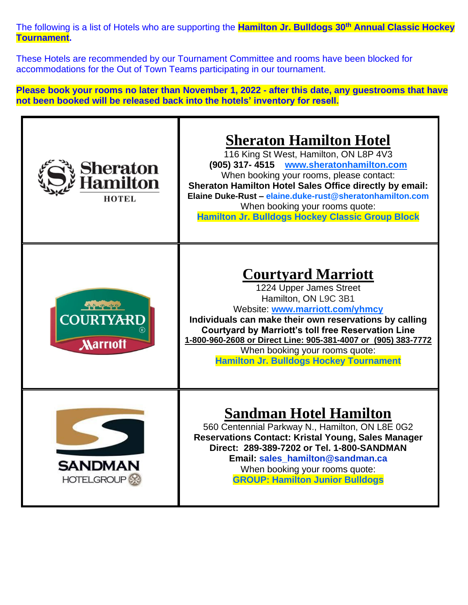The following is a list of Hotels who are supporting the **Hamilton Jr. Bulldogs 30th Annual Classic Hockey Tournament.** 

These Hotels are recommended by our Tournament Committee and rooms have been blocked for accommodations for the Out of Town Teams participating in our tournament.

**Please book your rooms no later than November 1, 2022 - after this date, any guestrooms that have not been booked will be released back into the hotels' inventory for resell.**